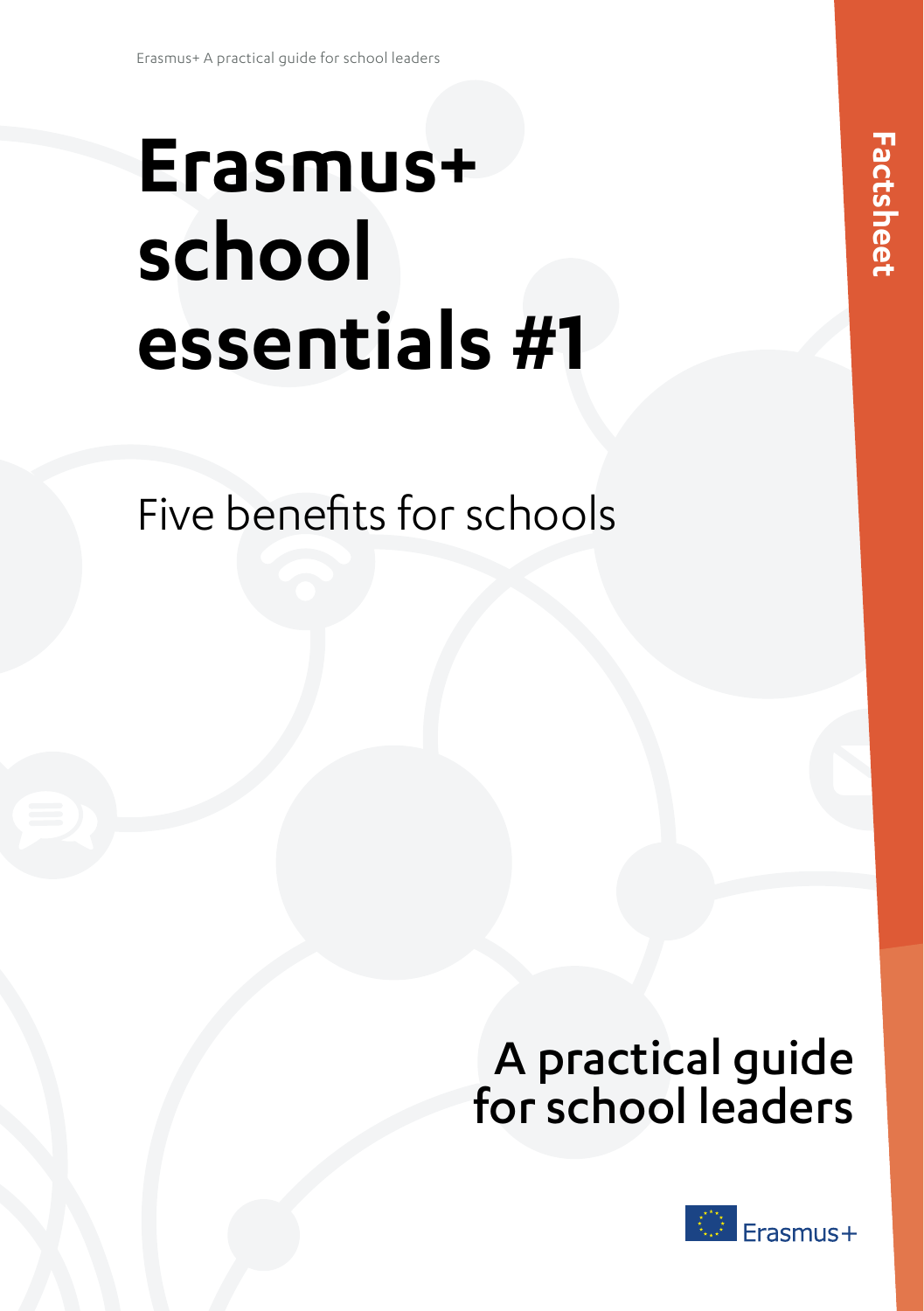# **Erasmus+ school essentials #1**

Five benefits for schools

## A practical guide for school leaders

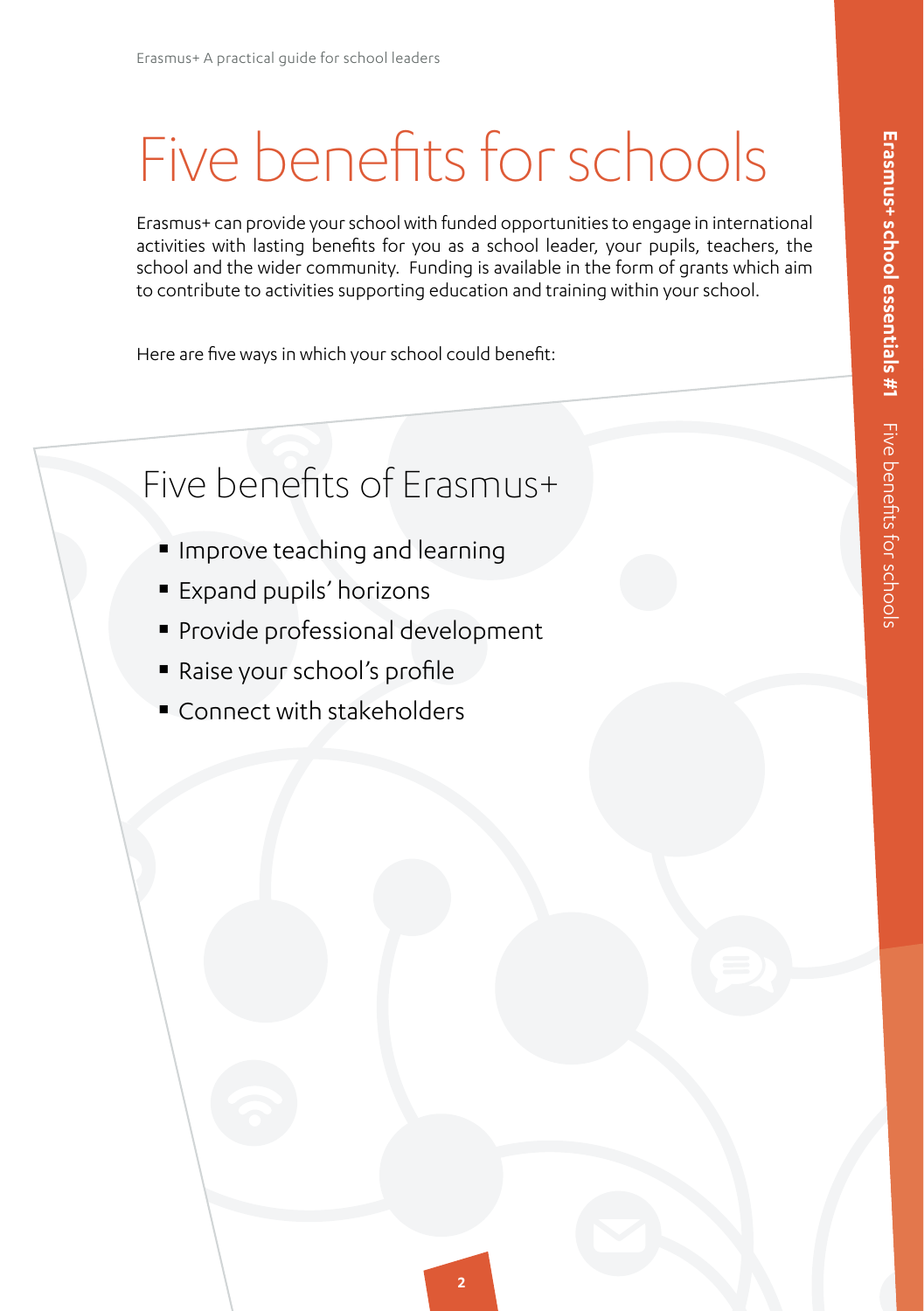## Five benefits for schools

Erasmus+ can provide your school with funded opportunities to engage in international activities with lasting benefits for you as a school leader, your pupils, teachers, the school and the wider community. Funding is available in the form of grants which aim to contribute to activities supporting education and training within your school.

Here are five ways in which your school could benefit:

### Five benefits of Erasmus+

- **Improve teaching and learning**
- **Expand pupils' horizons**
- Provide professional development
- Raise your school's profile
- Connect with stakeholders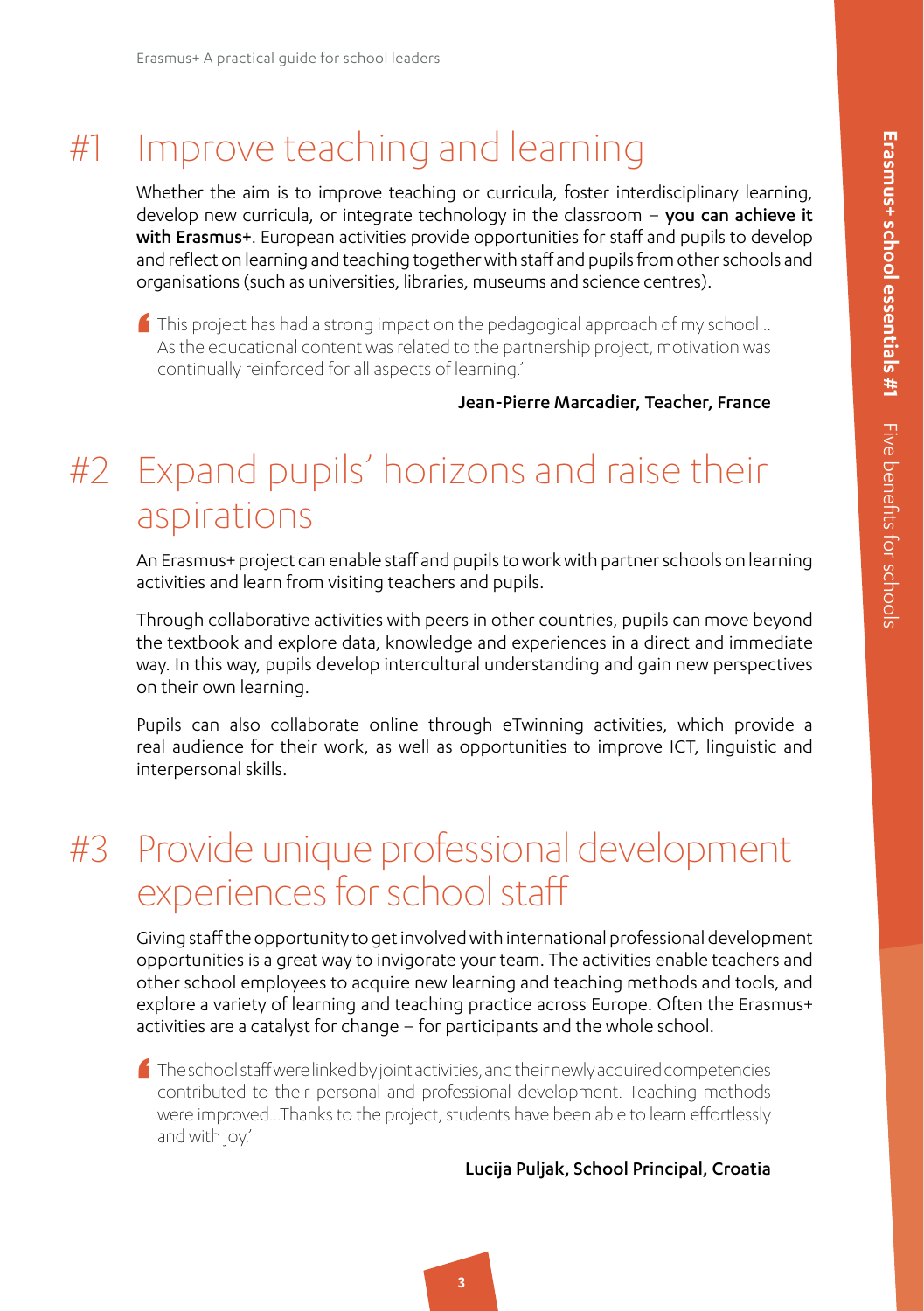### #1 Improve teaching and learning

Whether the aim is to improve teaching or curricula, foster interdisciplinary learning, develop new curricula, or integrate technology in the classroom - you can achieve it with Erasmus+. European activities provide opportunities for staff and pupils to develop and reflect on learning and teaching together with staff and pupils from other schools and organisations (such as universities, libraries, museums and science centres).

'  $\blacksquare$  This project has had a strong impact on the pedagogical approach of my school... As the educational content was related to the partnership project, motivation was continually reinforced for all aspects of learning.'

Jean-Pierre Marcadier, Teacher, France

#### #2 Expand pupils' horizons and raise their aspirations

An Erasmus+ project can enable staff and pupils to work with partner schools on learning activities and learn from visiting teachers and pupils.

Through collaborative activities with peers in other countries, pupils can move beyond the textbook and explore data, knowledge and experiences in a direct and immediate way. In this way, pupils develop intercultural understanding and gain new perspectives on their own learning.

Pupils can also collaborate online through eTwinning activities, which provide a real audience for their work, as well as opportunities to improve ICT, linguistic and interpersonal skills.

### #3 Provide unique professional development experiences for school staff

Giving staff the opportunity to get involved with international professional development opportunities is a great way to invigorate your team. The activities enable teachers and other school employees to acquire new learning and teaching methods and tools, and explore a variety of learning and teaching practice across Europe. Often the Erasmus+ activities are a catalyst for change – for participants and the whole school.

'  $\blacksquare$  The school staff were linked by joint activities, and their newly acquired competencies contributed to their personal and professional development. Teaching methods were improved…Thanks to the project, students have been able to learn effortlessly and with joy.'

#### Lucija Puljak, School Principal, Croatia